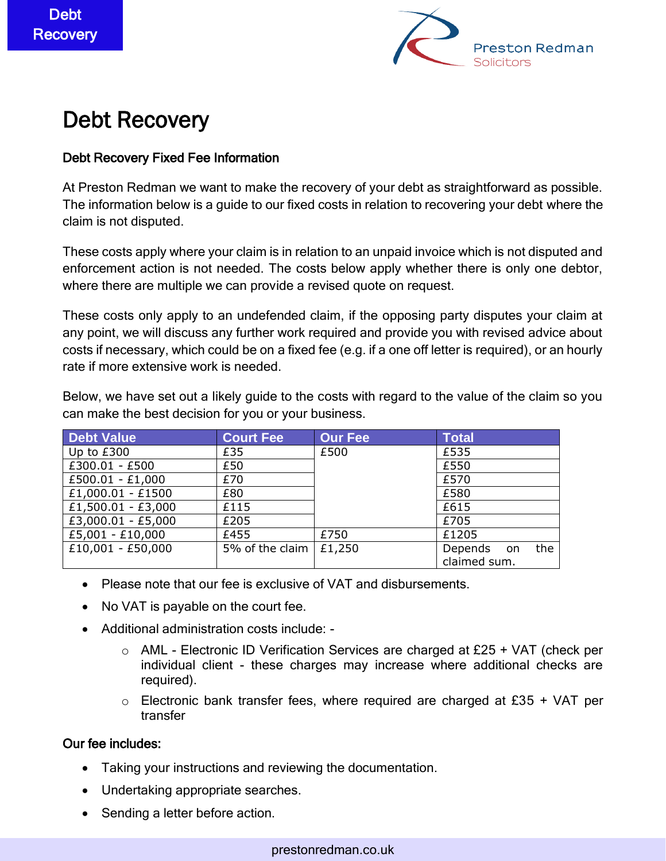

# Debt Recovery

# Debt Recovery Fixed Fee Information

At Preston Redman we want to make the recovery of your debt as straightforward as possible. The information below is a guide to our fixed costs in relation to recovering your debt where the claim is not disputed.

These costs apply where your claim is in relation to an unpaid invoice which is not disputed and enforcement action is not needed. The costs below apply whether there is only one debtor, where there are multiple we can provide a revised quote on request.

These costs only apply to an undefended claim, if the opposing party disputes your claim at any point, we will discuss any further work required and provide you with revised advice about costs if necessary, which could be on a fixed fee (e.g. if a one off letter is required), or an hourly rate if more extensive work is needed.

Below, we have set out a likely guide to the costs with regard to the value of the claim so you can make the best decision for you or your business.

| <b>Debt Value</b>   | <b>Court Fee</b> | <b>Our Fee</b> | <b>Total</b>                      |
|---------------------|------------------|----------------|-----------------------------------|
| Up to £300          | £35              | £500           | £535                              |
| £300.01 - £500      | £50              |                | £550                              |
| $£500.01 - £1,000$  | £70              |                | £570                              |
| $£1,000.01 - £1500$ | £80              |                | £580                              |
| £1,500.01 - £3,000  | £115             |                | £615                              |
| £3,000.01 - £5,000  | £205             |                | £705                              |
| $£5,001 - £10,000$  | £455             | £750           | £1205                             |
| $£10,001 - £50,000$ | 5% of the claim  | £1,250         | Depends on<br>the<br>claimed sum. |

- Please note that our fee is exclusive of VAT and disbursements.
- No VAT is payable on the court fee.
- Additional administration costs include:
	- o AML Electronic ID Verification Services are charged at £25 + VAT (check per individual client - these charges may increase where additional checks are required).
	- $\circ$  Electronic bank transfer fees, where required are charged at £35 + VAT per transfer

### Our fee includes:

- Taking your instructions and reviewing the documentation.
- Undertaking appropriate searches.
- Sending a letter before action.